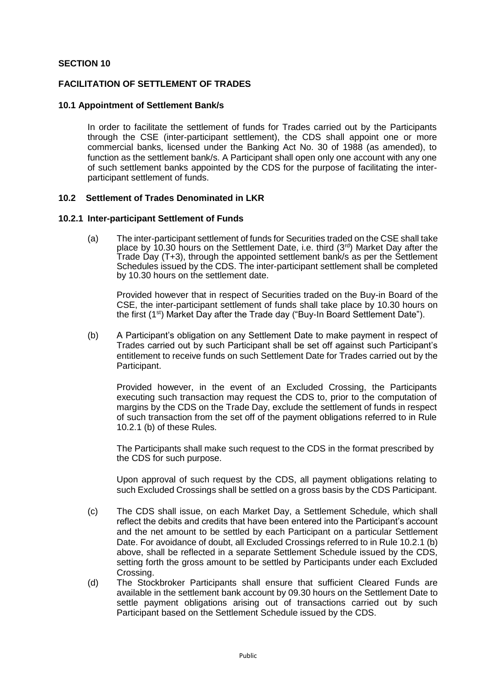### **SECTION 10**

### **FACILITATION OF SETTLEMENT OF TRADES**

#### **10.1 Appointment of Settlement Bank/s**

In order to facilitate the settlement of funds for Trades carried out by the Participants through the CSE (inter-participant settlement), the CDS shall appoint one or more commercial banks, licensed under the Banking Act No. 30 of 1988 (as amended), to function as the settlement bank/s. A Participant shall open only one account with any one of such settlement banks appointed by the CDS for the purpose of facilitating the interparticipant settlement of funds.

#### **10.2 Settlement of Trades Denominated in LKR**

#### **10.2.1 Inter-participant Settlement of Funds**

(a) The inter-participant settlement of funds for Securities traded on the CSE shall take place by 10.30 hours on the Settlement Date, i.e. third  $(3<sup>rd</sup>)$  Market Day after the Trade Day (T+3), through the appointed settlement bank/s as per the Settlement Schedules issued by the CDS. The inter-participant settlement shall be completed by 10.30 hours on the settlement date.

Provided however that in respect of Securities traded on the Buy-in Board of the CSE, the inter-participant settlement of funds shall take place by 10.30 hours on the first (1<sup>st</sup>) Market Day after the Trade day ("Buy-In Board Settlement Date").

(b) A Participant's obligation on any Settlement Date to make payment in respect of Trades carried out by such Participant shall be set off against such Participant's entitlement to receive funds on such Settlement Date for Trades carried out by the Participant.

Provided however, in the event of an Excluded Crossing, the Participants executing such transaction may request the CDS to, prior to the computation of margins by the CDS on the Trade Day, exclude the settlement of funds in respect of such transaction from the set off of the payment obligations referred to in Rule 10.2.1 (b) of these Rules.

The Participants shall make such request to the CDS in the format prescribed by the CDS for such purpose.

Upon approval of such request by the CDS, all payment obligations relating to such Excluded Crossings shall be settled on a gross basis by the CDS Participant.

- (c) The CDS shall issue, on each Market Day, a Settlement Schedule, which shall reflect the debits and credits that have been entered into the Participant's account and the net amount to be settled by each Participant on a particular Settlement Date. For avoidance of doubt, all Excluded Crossings referred to in Rule 10.2.1 (b) above, shall be reflected in a separate Settlement Schedule issued by the CDS, setting forth the gross amount to be settled by Participants under each Excluded Crossing.
- (d) The Stockbroker Participants shall ensure that sufficient Cleared Funds are available in the settlement bank account by 09.30 hours on the Settlement Date to settle payment obligations arising out of transactions carried out by such Participant based on the Settlement Schedule issued by the CDS.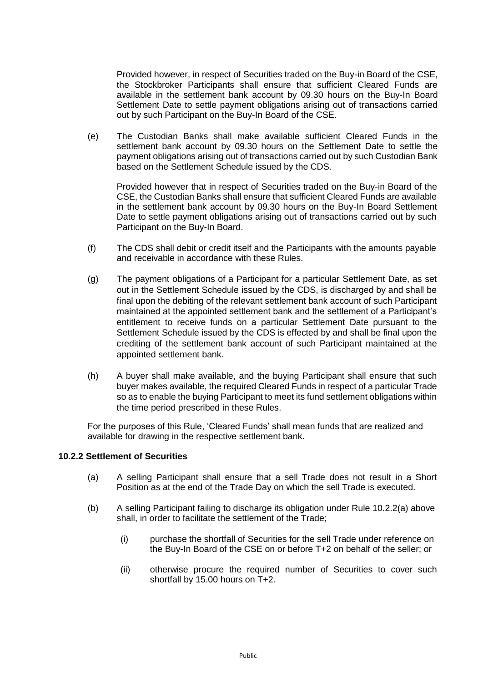Provided however, in respect of Securities traded on the Buy-in Board of the CSE, the Stockbroker Participants shall ensure that sufficient Cleared Funds are available in the settlement bank account by 09.30 hours on the Buy-In Board Settlement Date to settle payment obligations arising out of transactions carried out by such Participant on the Buy-In Board of the CSE.

(e) The Custodian Banks shall make available sufficient Cleared Funds in the settlement bank account by 09.30 hours on the Settlement Date to settle the payment obligations arising out of transactions carried out by such Custodian Bank based on the Settlement Schedule issued by the CDS.

Provided however that in respect of Securities traded on the Buy-in Board of the CSE, the Custodian Banks shall ensure that sufficient Cleared Funds are available in the settlement bank account by 09.30 hours on the Buy-In Board Settlement Date to settle payment obligations arising out of transactions carried out by such Participant on the Buy-In Board.

- (f) The CDS shall debit or credit itself and the Participants with the amounts payable and receivable in accordance with these Rules.
- (g) The payment obligations of a Participant for a particular Settlement Date, as set out in the Settlement Schedule issued by the CDS, is discharged by and shall be final upon the debiting of the relevant settlement bank account of such Participant maintained at the appointed settlement bank and the settlement of a Participant's entitlement to receive funds on a particular Settlement Date pursuant to the Settlement Schedule issued by the CDS is effected by and shall be final upon the crediting of the settlement bank account of such Participant maintained at the appointed settlement bank.
- (h) A buyer shall make available, and the buying Participant shall ensure that such buyer makes available, the required Cleared Funds in respect of a particular Trade so as to enable the buying Participant to meet its fund settlement obligations within the time period prescribed in these Rules.

For the purposes of this Rule, 'Cleared Funds' shall mean funds that are realized and available for drawing in the respective settlement bank.

# **10.2.2 Settlement of Securities**

- (a) A selling Participant shall ensure that a sell Trade does not result in a Short Position as at the end of the Trade Day on which the sell Trade is executed.
- (b) A selling Participant failing to discharge its obligation under Rule 10.2.2(a) above shall, in order to facilitate the settlement of the Trade;
	- (i) purchase the shortfall of Securities for the sell Trade under reference on the Buy-In Board of the CSE on or before T+2 on behalf of the seller; or
	- (ii) otherwise procure the required number of Securities to cover such shortfall by 15.00 hours on T+2.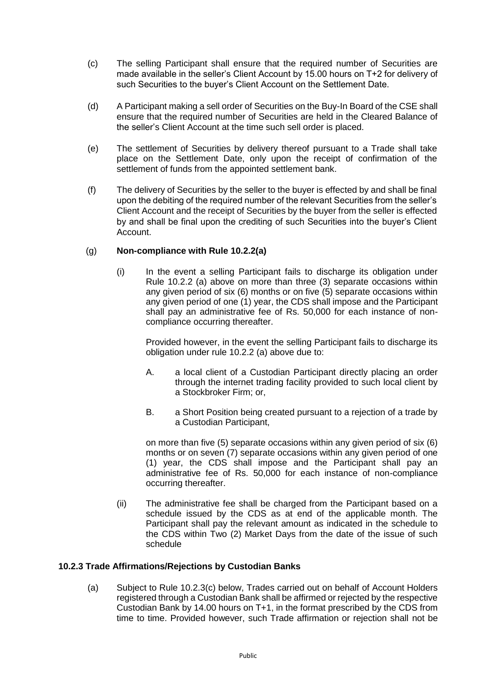- (c) The selling Participant shall ensure that the required number of Securities are made available in the seller's Client Account by 15.00 hours on T+2 for delivery of such Securities to the buyer's Client Account on the Settlement Date.
- (d) A Participant making a sell order of Securities on the Buy-In Board of the CSE shall ensure that the required number of Securities are held in the Cleared Balance of the seller's Client Account at the time such sell order is placed.
- (e) The settlement of Securities by delivery thereof pursuant to a Trade shall take place on the Settlement Date, only upon the receipt of confirmation of the settlement of funds from the appointed settlement bank.
- (f) The delivery of Securities by the seller to the buyer is effected by and shall be final upon the debiting of the required number of the relevant Securities from the seller's Client Account and the receipt of Securities by the buyer from the seller is effected by and shall be final upon the crediting of such Securities into the buyer's Client Account.

# (g) **Non-compliance with Rule 10.2.2(a)**

(i) In the event a selling Participant fails to discharge its obligation under Rule 10.2.2 (a) above on more than three (3) separate occasions within any given period of six (6) months or on five (5) separate occasions within any given period of one (1) year, the CDS shall impose and the Participant shall pay an administrative fee of Rs. 50,000 for each instance of noncompliance occurring thereafter.

Provided however, in the event the selling Participant fails to discharge its obligation under rule 10.2.2 (a) above due to:

- A. a local client of a Custodian Participant directly placing an order through the internet trading facility provided to such local client by a Stockbroker Firm; or,
- B. a Short Position being created pursuant to a rejection of a trade by a Custodian Participant,

on more than five (5) separate occasions within any given period of six (6) months or on seven (7) separate occasions within any given period of one (1) year, the CDS shall impose and the Participant shall pay an administrative fee of Rs. 50,000 for each instance of non-compliance occurring thereafter.

(ii) The administrative fee shall be charged from the Participant based on a schedule issued by the CDS as at end of the applicable month. The Participant shall pay the relevant amount as indicated in the schedule to the CDS within Two (2) Market Days from the date of the issue of such schedule

# **10.2.3 Trade Affirmations/Rejections by Custodian Banks**

(a) Subject to Rule 10.2.3(c) below, Trades carried out on behalf of Account Holders registered through a Custodian Bank shall be affirmed or rejected by the respective Custodian Bank by 14.00 hours on T+1, in the format prescribed by the CDS from time to time. Provided however, such Trade affirmation or rejection shall not be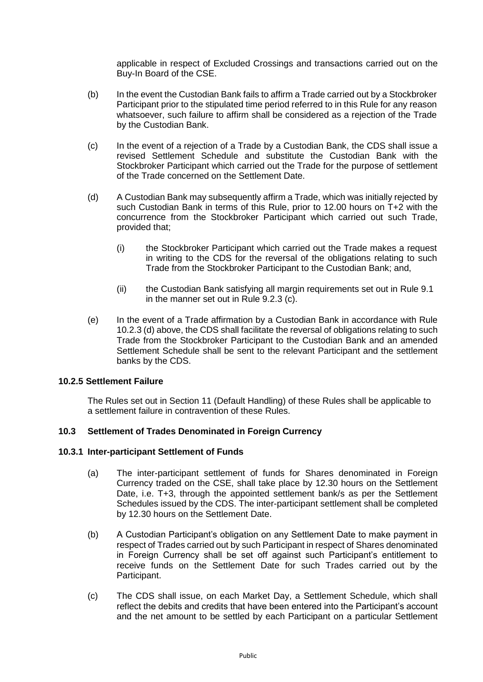applicable in respect of Excluded Crossings and transactions carried out on the Buy-In Board of the CSE.

- (b) In the event the Custodian Bank fails to affirm a Trade carried out by a Stockbroker Participant prior to the stipulated time period referred to in this Rule for any reason whatsoever, such failure to affirm shall be considered as a rejection of the Trade by the Custodian Bank.
- (c) In the event of a rejection of a Trade by a Custodian Bank, the CDS shall issue a revised Settlement Schedule and substitute the Custodian Bank with the Stockbroker Participant which carried out the Trade for the purpose of settlement of the Trade concerned on the Settlement Date.
- (d) A Custodian Bank may subsequently affirm a Trade, which was initially rejected by such Custodian Bank in terms of this Rule, prior to 12.00 hours on T+2 with the concurrence from the Stockbroker Participant which carried out such Trade, provided that;
	- (i) the Stockbroker Participant which carried out the Trade makes a request in writing to the CDS for the reversal of the obligations relating to such Trade from the Stockbroker Participant to the Custodian Bank; and,
	- (ii) the Custodian Bank satisfying all margin requirements set out in Rule 9.1 in the manner set out in Rule 9.2.3 (c).
- (e) In the event of a Trade affirmation by a Custodian Bank in accordance with Rule 10.2.3 (d) above, the CDS shall facilitate the reversal of obligations relating to such Trade from the Stockbroker Participant to the Custodian Bank and an amended Settlement Schedule shall be sent to the relevant Participant and the settlement banks by the CDS.

# **10.2.5 Settlement Failure**

The Rules set out in Section 11 (Default Handling) of these Rules shall be applicable to a settlement failure in contravention of these Rules.

## **10.3 Settlement of Trades Denominated in Foreign Currency**

#### **10.3.1 Inter-participant Settlement of Funds**

- (a) The inter-participant settlement of funds for Shares denominated in Foreign Currency traded on the CSE, shall take place by 12.30 hours on the Settlement Date, i.e. T+3, through the appointed settlement bank/s as per the Settlement Schedules issued by the CDS. The inter-participant settlement shall be completed by 12.30 hours on the Settlement Date.
- (b) A Custodian Participant's obligation on any Settlement Date to make payment in respect of Trades carried out by such Participant in respect of Shares denominated in Foreign Currency shall be set off against such Participant's entitlement to receive funds on the Settlement Date for such Trades carried out by the Participant.
- (c) The CDS shall issue, on each Market Day, a Settlement Schedule, which shall reflect the debits and credits that have been entered into the Participant's account and the net amount to be settled by each Participant on a particular Settlement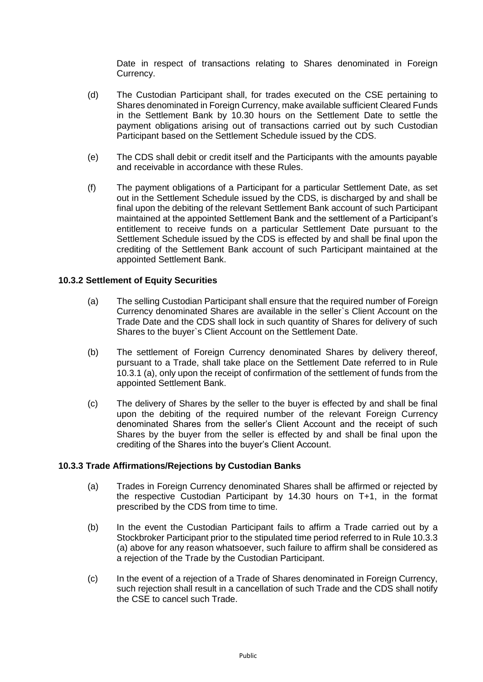Date in respect of transactions relating to Shares denominated in Foreign Currency.

- (d) The Custodian Participant shall, for trades executed on the CSE pertaining to Shares denominated in Foreign Currency, make available sufficient Cleared Funds in the Settlement Bank by 10.30 hours on the Settlement Date to settle the payment obligations arising out of transactions carried out by such Custodian Participant based on the Settlement Schedule issued by the CDS.
- (e) The CDS shall debit or credit itself and the Participants with the amounts payable and receivable in accordance with these Rules.
- (f) The payment obligations of a Participant for a particular Settlement Date, as set out in the Settlement Schedule issued by the CDS, is discharged by and shall be final upon the debiting of the relevant Settlement Bank account of such Participant maintained at the appointed Settlement Bank and the settlement of a Participant's entitlement to receive funds on a particular Settlement Date pursuant to the Settlement Schedule issued by the CDS is effected by and shall be final upon the crediting of the Settlement Bank account of such Participant maintained at the appointed Settlement Bank.

### **10.3.2 Settlement of Equity Securities**

- (a) The selling Custodian Participant shall ensure that the required number of Foreign Currency denominated Shares are available in the seller`s Client Account on the Trade Date and the CDS shall lock in such quantity of Shares for delivery of such Shares to the buyer`s Client Account on the Settlement Date.
- (b) The settlement of Foreign Currency denominated Shares by delivery thereof, pursuant to a Trade, shall take place on the Settlement Date referred to in Rule 10.3.1 (a), only upon the receipt of confirmation of the settlement of funds from the appointed Settlement Bank.
- (c) The delivery of Shares by the seller to the buyer is effected by and shall be final upon the debiting of the required number of the relevant Foreign Currency denominated Shares from the seller's Client Account and the receipt of such Shares by the buyer from the seller is effected by and shall be final upon the crediting of the Shares into the buyer's Client Account.

#### **10.3.3 Trade Affirmations/Rejections by Custodian Banks**

- (a) Trades in Foreign Currency denominated Shares shall be affirmed or rejected by the respective Custodian Participant by 14.30 hours on T+1, in the format prescribed by the CDS from time to time.
- (b) In the event the Custodian Participant fails to affirm a Trade carried out by a Stockbroker Participant prior to the stipulated time period referred to in Rule 10.3.3 (a) above for any reason whatsoever, such failure to affirm shall be considered as a rejection of the Trade by the Custodian Participant.
- (c) In the event of a rejection of a Trade of Shares denominated in Foreign Currency, such rejection shall result in a cancellation of such Trade and the CDS shall notify the CSE to cancel such Trade.